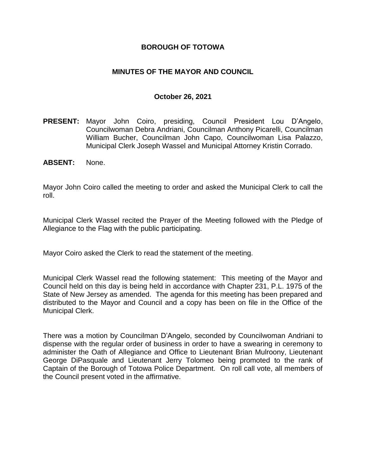## **BOROUGH OF TOTOWA**

## **MINUTES OF THE MAYOR AND COUNCIL**

#### **October 26, 2021**

- **PRESENT:** Mayor John Coiro, presiding, Council President Lou D'Angelo, Councilwoman Debra Andriani, Councilman Anthony Picarelli, Councilman William Bucher, Councilman John Capo, Councilwoman Lisa Palazzo, Municipal Clerk Joseph Wassel and Municipal Attorney Kristin Corrado.
- **ABSENT:** None.

Mayor John Coiro called the meeting to order and asked the Municipal Clerk to call the roll.

Municipal Clerk Wassel recited the Prayer of the Meeting followed with the Pledge of Allegiance to the Flag with the public participating.

Mayor Coiro asked the Clerk to read the statement of the meeting.

Municipal Clerk Wassel read the following statement: This meeting of the Mayor and Council held on this day is being held in accordance with Chapter 231, P.L. 1975 of the State of New Jersey as amended. The agenda for this meeting has been prepared and distributed to the Mayor and Council and a copy has been on file in the Office of the Municipal Clerk.

There was a motion by Councilman D'Angelo, seconded by Councilwoman Andriani to dispense with the regular order of business in order to have a swearing in ceremony to administer the Oath of Allegiance and Office to Lieutenant Brian Mulroony, Lieutenant George DiPasquale and Lieutenant Jerry Tolomeo being promoted to the rank of Captain of the Borough of Totowa Police Department. On roll call vote, all members of the Council present voted in the affirmative.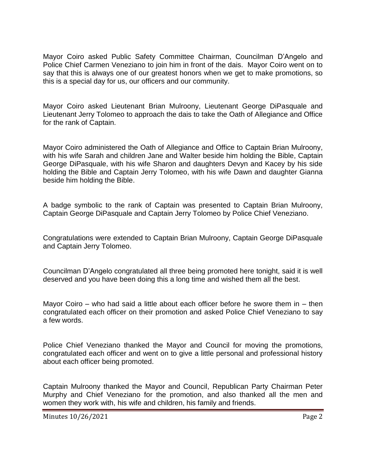Mayor Coiro asked Public Safety Committee Chairman, Councilman D'Angelo and Police Chief Carmen Veneziano to join him in front of the dais. Mayor Coiro went on to say that this is always one of our greatest honors when we get to make promotions, so this is a special day for us, our officers and our community.

Mayor Coiro asked Lieutenant Brian Mulroony, Lieutenant George DiPasquale and Lieutenant Jerry Tolomeo to approach the dais to take the Oath of Allegiance and Office for the rank of Captain.

Mayor Coiro administered the Oath of Allegiance and Office to Captain Brian Mulroony, with his wife Sarah and children Jane and Walter beside him holding the Bible, Captain George DiPasquale, with his wife Sharon and daughters Devyn and Kacey by his side holding the Bible and Captain Jerry Tolomeo, with his wife Dawn and daughter Gianna beside him holding the Bible.

A badge symbolic to the rank of Captain was presented to Captain Brian Mulroony, Captain George DiPasquale and Captain Jerry Tolomeo by Police Chief Veneziano.

Congratulations were extended to Captain Brian Mulroony, Captain George DiPasquale and Captain Jerry Tolomeo.

Councilman D'Angelo congratulated all three being promoted here tonight, said it is well deserved and you have been doing this a long time and wished them all the best.

Mayor Coiro – who had said a little about each officer before he swore them in – then congratulated each officer on their promotion and asked Police Chief Veneziano to say a few words.

Police Chief Veneziano thanked the Mayor and Council for moving the promotions, congratulated each officer and went on to give a little personal and professional history about each officer being promoted.

Captain Mulroony thanked the Mayor and Council, Republican Party Chairman Peter Murphy and Chief Veneziano for the promotion, and also thanked all the men and women they work with, his wife and children, his family and friends.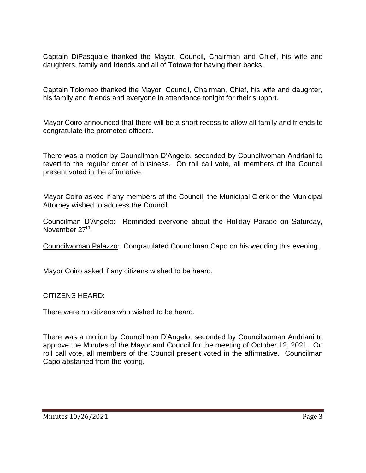Captain DiPasquale thanked the Mayor, Council, Chairman and Chief, his wife and daughters, family and friends and all of Totowa for having their backs.

Captain Tolomeo thanked the Mayor, Council, Chairman, Chief, his wife and daughter, his family and friends and everyone in attendance tonight for their support.

Mayor Coiro announced that there will be a short recess to allow all family and friends to congratulate the promoted officers.

There was a motion by Councilman D'Angelo, seconded by Councilwoman Andriani to revert to the regular order of business. On roll call vote, all members of the Council present voted in the affirmative.

Mayor Coiro asked if any members of the Council, the Municipal Clerk or the Municipal Attorney wished to address the Council.

Councilman D'Angelo: Reminded everyone about the Holiday Parade on Saturday, November 27<sup>th</sup>.

Councilwoman Palazzo: Congratulated Councilman Capo on his wedding this evening.

Mayor Coiro asked if any citizens wished to be heard.

CITIZENS HEARD:

There were no citizens who wished to be heard.

There was a motion by Councilman D'Angelo, seconded by Councilwoman Andriani to approve the Minutes of the Mayor and Council for the meeting of October 12, 2021. On roll call vote, all members of the Council present voted in the affirmative. Councilman Capo abstained from the voting.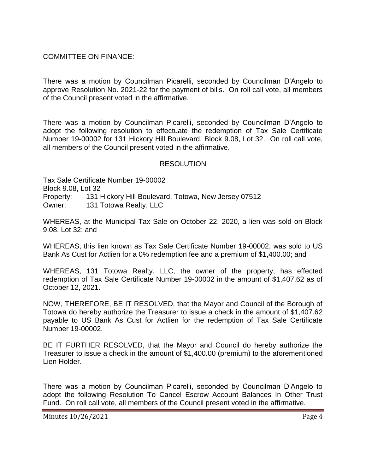COMMITTEE ON FINANCE:

There was a motion by Councilman Picarelli, seconded by Councilman D'Angelo to approve Resolution No. 2021-22 for the payment of bills. On roll call vote, all members of the Council present voted in the affirmative.

There was a motion by Councilman Picarelli, seconded by Councilman D'Angelo to adopt the following resolution to effectuate the redemption of Tax Sale Certificate Number 19-00002 for 131 Hickory Hill Boulevard, Block 9.08, Lot 32. On roll call vote, all members of the Council present voted in the affirmative.

## **RESOLUTION**

Tax Sale Certificate Number 19-00002 Block 9.08, Lot 32 Property: 131 Hickory Hill Boulevard, Totowa, New Jersey 07512 Owner: 131 Totowa Realty, LLC

WHEREAS, at the Municipal Tax Sale on October 22, 2020, a lien was sold on Block 9.08, Lot 32; and

WHEREAS, this lien known as Tax Sale Certificate Number 19-00002, was sold to US Bank As Cust for Actlien for a 0% redemption fee and a premium of \$1,400.00; and

WHEREAS, 131 Totowa Realty, LLC, the owner of the property, has effected redemption of Tax Sale Certificate Number 19-00002 in the amount of \$1,407.62 as of October 12, 2021.

NOW, THEREFORE, BE IT RESOLVED, that the Mayor and Council of the Borough of Totowa do hereby authorize the Treasurer to issue a check in the amount of \$1,407.62 payable to US Bank As Cust for Actlien for the redemption of Tax Sale Certificate Number 19-00002.

BE IT FURTHER RESOLVED, that the Mayor and Council do hereby authorize the Treasurer to issue a check in the amount of \$1,400.00 (premium) to the aforementioned Lien Holder.

There was a motion by Councilman Picarelli, seconded by Councilman D'Angelo to adopt the following Resolution To Cancel Escrow Account Balances In Other Trust Fund. On roll call vote, all members of the Council present voted in the affirmative.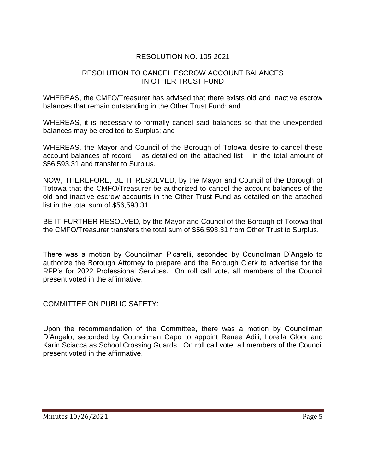# RESOLUTION NO. 105-2021

## RESOLUTION TO CANCEL ESCROW ACCOUNT BALANCES IN OTHER TRUST FUND

WHEREAS, the CMFO/Treasurer has advised that there exists old and inactive escrow balances that remain outstanding in the Other Trust Fund; and

WHEREAS, it is necessary to formally cancel said balances so that the unexpended balances may be credited to Surplus; and

WHEREAS, the Mayor and Council of the Borough of Totowa desire to cancel these account balances of record – as detailed on the attached list – in the total amount of \$56,593.31 and transfer to Surplus.

NOW, THEREFORE, BE IT RESOLVED, by the Mayor and Council of the Borough of Totowa that the CMFO/Treasurer be authorized to cancel the account balances of the old and inactive escrow accounts in the Other Trust Fund as detailed on the attached list in the total sum of \$56,593.31.

BE IT FURTHER RESOLVED, by the Mayor and Council of the Borough of Totowa that the CMFO/Treasurer transfers the total sum of \$56,593.31 from Other Trust to Surplus.

There was a motion by Councilman Picarelli, seconded by Councilman D'Angelo to authorize the Borough Attorney to prepare and the Borough Clerk to advertise for the RFP's for 2022 Professional Services. On roll call vote, all members of the Council present voted in the affirmative.

COMMITTEE ON PUBLIC SAFETY:

Upon the recommendation of the Committee, there was a motion by Councilman D'Angelo, seconded by Councilman Capo to appoint Renee Adili, Lorella Gloor and Karin Sciacca as School Crossing Guards. On roll call vote, all members of the Council present voted in the affirmative.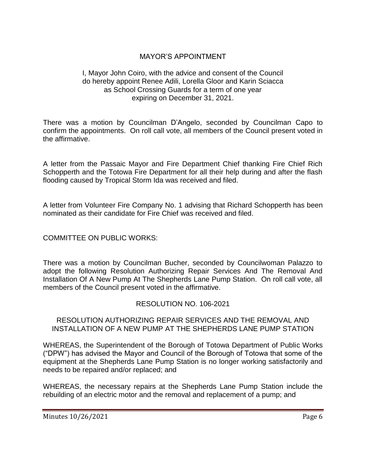# MAYOR'S APPOINTMENT

#### I, Mayor John Coiro, with the advice and consent of the Council do hereby appoint Renee Adili, Lorella Gloor and Karin Sciacca as School Crossing Guards for a term of one year expiring on December 31, 2021.

There was a motion by Councilman D'Angelo, seconded by Councilman Capo to confirm the appointments. On roll call vote, all members of the Council present voted in the affirmative.

A letter from the Passaic Mayor and Fire Department Chief thanking Fire Chief Rich Schopperth and the Totowa Fire Department for all their help during and after the flash flooding caused by Tropical Storm Ida was received and filed.

A letter from Volunteer Fire Company No. 1 advising that Richard Schopperth has been nominated as their candidate for Fire Chief was received and filed.

COMMITTEE ON PUBLIC WORKS:

There was a motion by Councilman Bucher, seconded by Councilwoman Palazzo to adopt the following Resolution Authorizing Repair Services And The Removal And Installation Of A New Pump At The Shepherds Lane Pump Station. On roll call vote, all members of the Council present voted in the affirmative.

#### RESOLUTION NO. 106-2021

#### RESOLUTION AUTHORIZING REPAIR SERVICES AND THE REMOVAL AND INSTALLATION OF A NEW PUMP AT THE SHEPHERDS LANE PUMP STATION

WHEREAS, the Superintendent of the Borough of Totowa Department of Public Works ("DPW") has advised the Mayor and Council of the Borough of Totowa that some of the equipment at the Shepherds Lane Pump Station is no longer working satisfactorily and needs to be repaired and/or replaced; and

WHEREAS, the necessary repairs at the Shepherds Lane Pump Station include the rebuilding of an electric motor and the removal and replacement of a pump; and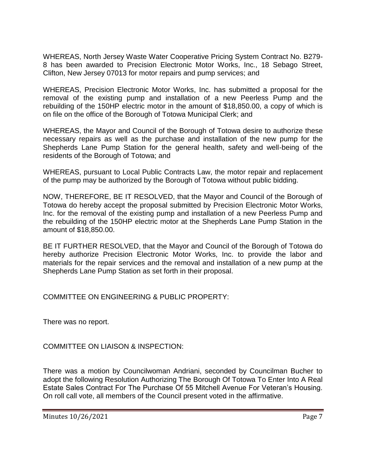WHEREAS, North Jersey Waste Water Cooperative Pricing System Contract No. B279- 8 has been awarded to Precision Electronic Motor Works, Inc., 18 Sebago Street, Clifton, New Jersey 07013 for motor repairs and pump services; and

WHEREAS, Precision Electronic Motor Works, Inc. has submitted a proposal for the removal of the existing pump and installation of a new Peerless Pump and the rebuilding of the 150HP electric motor in the amount of \$18,850.00, a copy of which is on file on the office of the Borough of Totowa Municipal Clerk; and

WHEREAS, the Mayor and Council of the Borough of Totowa desire to authorize these necessary repairs as well as the purchase and installation of the new pump for the Shepherds Lane Pump Station for the general health, safety and well-being of the residents of the Borough of Totowa; and

WHEREAS, pursuant to Local Public Contracts Law, the motor repair and replacement of the pump may be authorized by the Borough of Totowa without public bidding.

NOW, THEREFORE, BE IT RESOLVED, that the Mayor and Council of the Borough of Totowa do hereby accept the proposal submitted by Precision Electronic Motor Works, Inc. for the removal of the existing pump and installation of a new Peerless Pump and the rebuilding of the 150HP electric motor at the Shepherds Lane Pump Station in the amount of \$18,850.00.

BE IT FURTHER RESOLVED, that the Mayor and Council of the Borough of Totowa do hereby authorize Precision Electronic Motor Works, Inc. to provide the labor and materials for the repair services and the removal and installation of a new pump at the Shepherds Lane Pump Station as set forth in their proposal.

COMMITTEE ON ENGINEERING & PUBLIC PROPERTY:

There was no report.

COMMITTEE ON LIAISON & INSPECTION:

There was a motion by Councilwoman Andriani, seconded by Councilman Bucher to adopt the following Resolution Authorizing The Borough Of Totowa To Enter Into A Real Estate Sales Contract For The Purchase Of 55 Mitchell Avenue For Veteran's Housing. On roll call vote, all members of the Council present voted in the affirmative.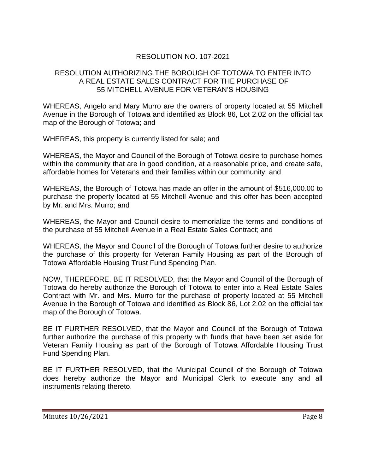# RESOLUTION NO. 107-2021

## RESOLUTION AUTHORIZING THE BOROUGH OF TOTOWA TO ENTER INTO A REAL ESTATE SALES CONTRACT FOR THE PURCHASE OF 55 MITCHELL AVENUE FOR VETERAN'S HOUSING

WHEREAS, Angelo and Mary Murro are the owners of property located at 55 Mitchell Avenue in the Borough of Totowa and identified as Block 86, Lot 2.02 on the official tax map of the Borough of Totowa; and

WHEREAS, this property is currently listed for sale; and

WHEREAS, the Mayor and Council of the Borough of Totowa desire to purchase homes within the community that are in good condition, at a reasonable price, and create safe, affordable homes for Veterans and their families within our community; and

WHEREAS, the Borough of Totowa has made an offer in the amount of \$516,000.00 to purchase the property located at 55 Mitchell Avenue and this offer has been accepted by Mr. and Mrs. Murro; and

WHEREAS, the Mayor and Council desire to memorialize the terms and conditions of the purchase of 55 Mitchell Avenue in a Real Estate Sales Contract; and

WHEREAS, the Mayor and Council of the Borough of Totowa further desire to authorize the purchase of this property for Veteran Family Housing as part of the Borough of Totowa Affordable Housing Trust Fund Spending Plan.

NOW, THEREFORE, BE IT RESOLVED, that the Mayor and Council of the Borough of Totowa do hereby authorize the Borough of Totowa to enter into a Real Estate Sales Contract with Mr. and Mrs. Murro for the purchase of property located at 55 Mitchell Avenue in the Borough of Totowa and identified as Block 86, Lot 2.02 on the official tax map of the Borough of Totowa.

BE IT FURTHER RESOLVED, that the Mayor and Council of the Borough of Totowa further authorize the purchase of this property with funds that have been set aside for Veteran Family Housing as part of the Borough of Totowa Affordable Housing Trust Fund Spending Plan.

BE IT FURTHER RESOLVED, that the Municipal Council of the Borough of Totowa does hereby authorize the Mayor and Municipal Clerk to execute any and all instruments relating thereto.